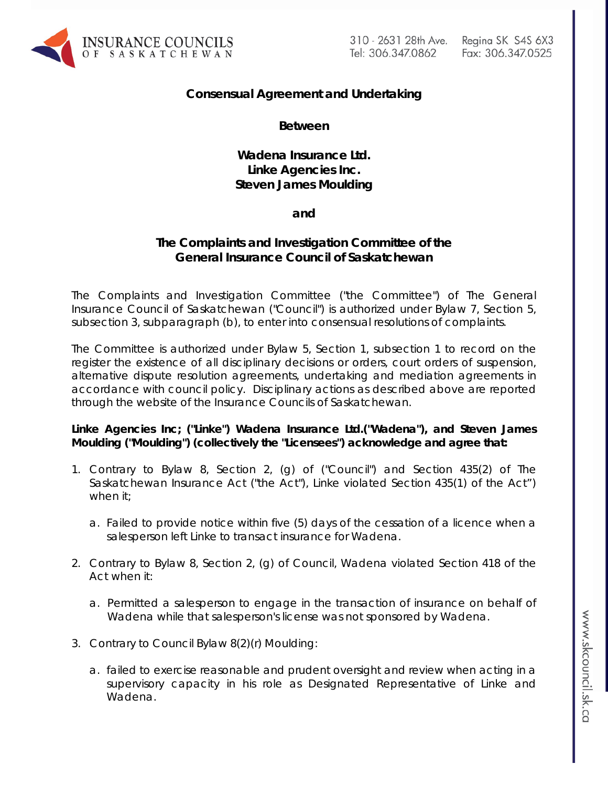

310 - 2631 28th Ave. Tel: 306.347.0862

Reging SK S4S 6X3 Fax: 306.347.0525

# **Consensual Agreement and Undertaking**

**Between**

**Wadena Insurance Ltd. Linke Agencies Inc. Steven James Moulding**

**and**

## **The Complaints and Investigation Committee of the General Insurance Council of Saskatchewan**

The Complaints and Investigation Committee ("the Committee") of The General Insurance Council of Saskatchewan ("Council") is authorized under Bylaw 7, Section 5, subsection 3, subparagraph (b), to enter into consensual resolutions of complaints.

The Committee is authorized under Bylaw 5, Section 1, subsection 1 to record on the register the existence of all disciplinary decisions or orders, court orders of suspension, alternative dispute resolution agreements, undertaking and mediation agreements in accordance with council policy. Disciplinary actions as described above are reported through the website of the Insurance Councils of Saskatchewan.

## **Linke Agencies Inc; ("Linke") Wadena Insurance Ltd.("Wadena"), and Steven James Moulding ("Moulding") (collectively the "Licensees") acknowledge and agree that:**

- 1. Contrary to Bylaw 8, Section 2, (g) of ("Council") and Section 435(2) of *The Saskatchewan Insurance Act* ("the Act"), Linke violated Section 435(1) of the Act") when it;
	- a. Failed to provide notice within five (5) days of the cessation of a licence when a salesperson left Linke to transact insurance for Wadena.
- 2. Contrary to Bylaw 8, Section 2, (g) of Council, Wadena violated Section 418 of the Act when it:
	- a. Permitted a salesperson to engage in the transaction of insurance on behalf of Wadena while that salesperson's license was not sponsored by Wadena.
- 3. Contrary to Council Bylaw 8(2)(r) Moulding:
	- a. failed to exercise reasonable and prudent oversight and review when acting in a supervisory capacity in his role as Designated Representative of Linke and Wadena.